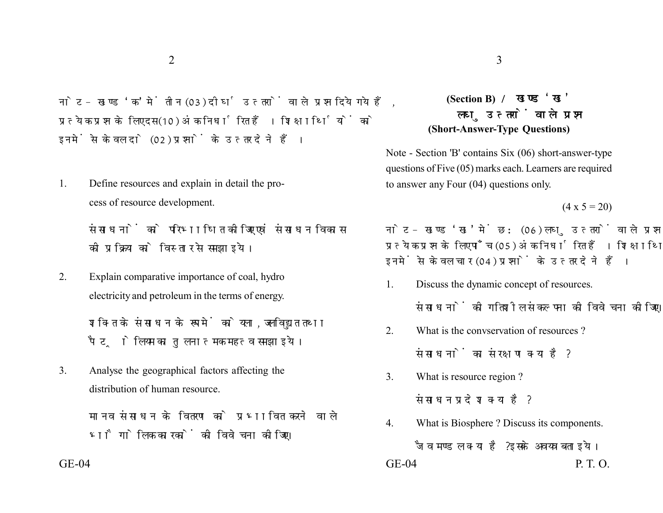नोट- खण्ड 'क' में तीन (03) दीर्घ उत्तरों वाले प्रश्न दिये गये हैं. प्रत्येक प्रश्न के लिए दस (10) अंक निर्धारित हैं। शिक्षार्थियों को इनमें से केवल दो (02) प्रश्नों के उत्तर देने हैं।

1. Define resources and explain in detail the process of resource development.

> संसाधनों को परिभाषित कीजिए एवं संसाधन विकास की प्रक्रिया को विस्तार से समझाइये।

2. Explain comparative importance of coal, hydro electricity and petroleum in the terms of energy.

> शक्ति के संसाधन के रूप में कोयला, जलविद्युत तथा पैटोलियम का तुलनात्मक महत्व समझाइये।

3. Analyse the geographical factors affecting the distribution of human resource.

> मानव संसाधन के वितरण को प्रभावित करने वाले भौगोलिक कारकों की विवेचना कोजिए।

## **(Section B)**  लघ उत्तरों वाले प्रश्न **(Short-Answer-Type Questions)**

Note - Section 'B' contains Six (06) short-answer-type questions of Five (05) marks each. Learners are required to answer any Four (04) questions only.

 $(4 \times 5 = 20)$ 

नोट- खण्ड 'ख' में छ: (06) लघु उत्तरों वाले प्रश्न दिये गये हैं, प्रत्येक प्रश्न के लिए पाँच (05) अंक निर्धारित हैं। शिक्षार्थियों को इनमें से केवल चार (04) प्रश्नों के उत्तर देने हैं।

1. Discuss the dynamic concept of resources.

संसाधनों की गतिशील संकल्पना की विवेचना कीजिए।

2. What is the convervation of resources ?

संसाधनों का संरक्षण क्या है?

- 3. What is resource region ? संसाधन प्रदेश क्या है?
- 4. What is Biosphere ? Discuss its components. जैव मण्डल क्या है? इसके अवयव बताइये। GE-04 GE-04 P. T. O.